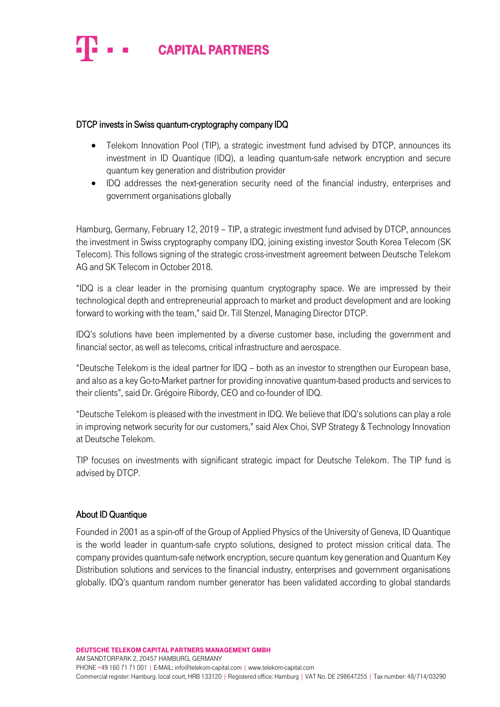

## DTCP invests in Swiss quantum-cryptography company IDQ

- Telekom Innovation Pool (TIP), a strategic investment fund advised by DTCP, announces its investment in ID Quantique (IDQ), a leading quantum-safe network encryption and secure quantum key generation and distribution provider
- IDQ addresses the next-generation security need of the financial industry, enterprises and government organisations globally

Hamburg, Germany, February 12, 2019 – TIP, a strategic investment fund advised by DTCP, announces the investment in Swiss cryptography company IDQ, joining existing investor South Korea Telecom (SK Telecom). This follows signing of the strategic cross-investment agreement between Deutsche Telekom AG and SK Telecom in October 2018.

"IDQ is a clear leader in the promising quantum cryptography space. We are impressed by their technological depth and entrepreneurial approach to market and product development and are looking forward to working with the team," said Dr. Till Stenzel, Managing Director DTCP.

IDQ's solutions have been implemented by a diverse customer base, including the government and financial sector, as well as telecoms, critical infrastructure and aerospace.

"Deutsche Telekom is the ideal partner for IDQ – both as an investor to strengthen our European base, and also as a key Go-to-Market partner for providing innovative quantum-based products and services to their clients", said Dr. Grégoire Ribordy, CEO and co-founder of IDQ.

"Deutsche Telekom is pleased with the investment in IDQ. We believe that IDQ's solutions can play a role in improving network security for our customers," said Alex Choi, SVP Strategy & Technology Innovation at Deutsche Telekom.

TIP focuses on investments with significant strategic impact for Deutsche Telekom. The TIP fund is advised by DTCP.

## About ID Quantique

Founded in 2001 as a spin-off of the Group of Applied Physics of the University of Geneva, ID Quantique is the world leader in quantum-safe crypto solutions, designed to protect mission critical data. The company provides quantum-safe network encryption, secure quantum key generation and Quantum Key Distribution solutions and services to the financial industry, enterprises and government organisations globally. IDQ's quantum random number generator has been validated according to global standards